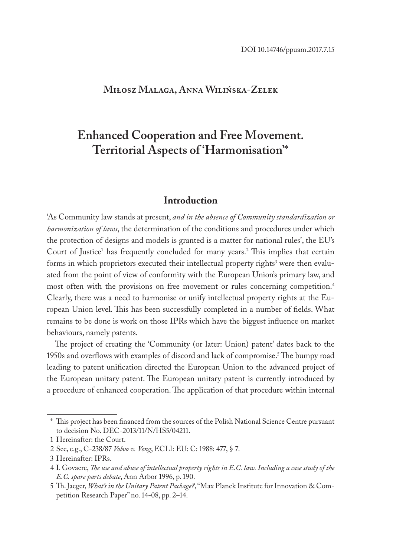#### **Miłosz Malaga, Anna Wilińska-Zelek**

# **Enhanced Cooperation and Free Movement. Territorial Aspects of 'Harmonisation'\***

#### **Introduction**

'As Community law stands at present, *and in the absence of Community standardization or harmonization of laws*, the determination of the conditions and procedures under which the protection of designs and models is granted is a matter for national rules', the EU's Court of Justice<sup>1</sup> has frequently concluded for many years.<sup>2</sup> This implies that certain forms in which proprietors executed their intellectual property rights $^3$  were then evaluated from the point of view of conformity with the European Union's primary law, and most often with the provisions on free movement or rules concerning competition.4 Clearly, there was a need to harmonise or unify intellectual property rights at the European Union level. This has been successfully completed in a number of fields. What remains to be done is work on those IPRs which have the biggest influence on market behaviours, namely patents.

The project of creating the 'Community (or later: Union) patent' dates back to the 1950s and overflows with examples of discord and lack of compromise.<sup>5</sup> The bumpy road leading to patent unification directed the European Union to the advanced project of the European unitary patent. The European unitary patent is currently introduced by a procedure of enhanced cooperation. The application of that procedure within internal

<sup>\*</sup> This project has been financed from the sources of the Polish National Science Centre pursuant to decision No. DEC-2013/11/N/HS5/04211.

<sup>1</sup> Hereinafter: the Court.

<sup>2</sup> See, e.g., C-238/87 *Volvo v. Veng*, ECLI: EU: C: 1988: 477, § 7.

<sup>3</sup> Hereinafter: IPRs.

<sup>4</sup> I. Govaere, *The use and abuse of intellectual property rights in E.C. law. Including a case study of the E.C. spare parts debate*, Ann Arbor 1996, p. 190.

<sup>5</sup> Th. Jaeger, *What's in the Unitary Patent Package?*, "Max Planck Institute for Innovation & Competition Research Paper" no. 14-08, pp. 2–14.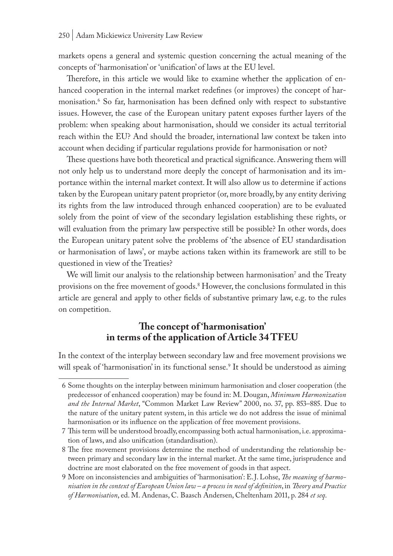markets opens a general and systemic question concerning the actual meaning of the concepts of 'harmonisation' or 'unification' of laws at the EU level.

Therefore, in this article we would like to examine whether the application of enhanced cooperation in the internal market redefines (or improves) the concept of harmonisation.6 So far, harmonisation has been defined only with respect to substantive issues. However, the case of the European unitary patent exposes further layers of the problem: when speaking about harmonisation, should we consider its actual territorial reach within the EU? And should the broader, international law context be taken into account when deciding if particular regulations provide for harmonisation or not?

These questions have both theoretical and practical significance. Answering them will not only help us to understand more deeply the concept of harmonisation and its importance within the internal market context. It will also allow us to determine if actions taken by the European unitary patent proprietor (or, more broadly, by any entity deriving its rights from the law introduced through enhanced cooperation) are to be evaluated solely from the point of view of the secondary legislation establishing these rights, or will evaluation from the primary law perspective still be possible? In other words, does the European unitary patent solve the problems of 'the absence of EU standardisation or harmonisation of laws', or maybe actions taken within its framework are still to be questioned in view of the Treaties?

We will limit our analysis to the relationship between harmonisation $^{\prime}$  and the Treaty provisions on the free movement of goods.8 However, the conclusions formulated in this article are general and apply to other fields of substantive primary law, e.g. to the rules on competition.

## **The concept of 'harmonisation' in terms of the application of Article 34 TFEU**

In the context of the interplay between secondary law and free movement provisions we will speak of 'harmonisation' in its functional sense.<sup>9</sup> It should be understood as aiming

<sup>6</sup> Some thoughts on the interplay between minimum harmonisation and closer cooperation (the predecessor of enhanced cooperation) may be found in: M. Dougan, *Minimum Harmonization and the Internal Market*, "Common Market Law Review" 2000, no. 37, pp. 853–885. Due to the nature of the unitary patent system, in this article we do not address the issue of minimal harmonisation or its influence on the application of free movement provisions.

<sup>7</sup> This term will be understood broadly, encompassing both actual harmonisation, i.e. approximation of laws, and also unification (standardisation).

<sup>8</sup> The free movement provisions determine the method of understanding the relationship between primary and secondary law in the internal market. At the same time, jurisprudence and doctrine are most elaborated on the free movement of goods in that aspect.

<sup>9</sup> More on inconsistencies and ambiguities of 'harmonisation': E.J. Lohse, *The meaning of harmonisation in the context of European Union law – a process in need of definition*, in *Theory and Practice of Harmonisation*, ed. M. Andenas, C. Baasch Andersen, Cheltenham 2011, p. 284 *et seq*.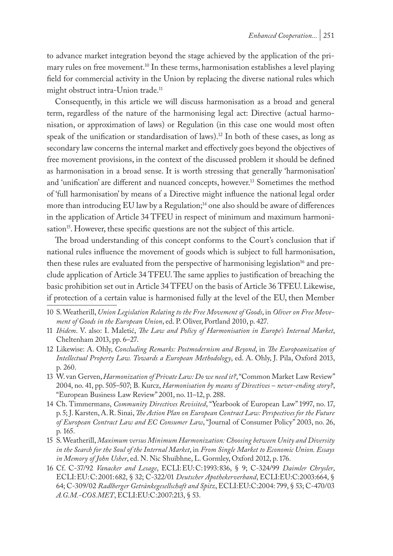to advance market integration beyond the stage achieved by the application of the primary rules on free movement.<sup>10</sup> In these terms, harmonisation establishes a level playing field for commercial activity in the Union by replacing the diverse national rules which might obstruct intra-Union trade.<sup>11</sup>

Consequently, in this article we will discuss harmonisation as a broad and general term, regardless of the nature of the harmonising legal act: Directive (actual harmonisation, or approximation of laws) or Regulation (in this case one would most often speak of the unification or standardisation of laws).<sup>12</sup> In both of these cases, as long as secondary law concerns the internal market and effectively goes beyond the objectives of free movement provisions, in the context of the discussed problem it should be defined as harmonisation in a broad sense. It is worth stressing that generally 'harmonisation' and 'unification' are different and nuanced concepts, however.13 Sometimes the method of 'full harmonisation' by means of a Directive might influence the national legal order more than introducing EU law by a Regulation;<sup>14</sup> one also should be aware of differences in the application of Article 34 TFEU in respect of minimum and maximum harmonisation<sup>15</sup>. However, these specific questions are not the subject of this article.

The broad understanding of this concept conforms to the Court's conclusion that if national rules influence the movement of goods which is subject to full harmonisation, then these rules are evaluated from the perspective of harmonising legislation<sup>16</sup> and preclude application of Article 34 TFEU. The same applies to justification of breaching the basic prohibition set out in Article 34 TFEU on the basis of Article 36 TFEU. Likewise, if protection of a certain value is harmonised fully at the level of the EU, then Member

- 10 S. Weatherill, *Union Legislation Relating to the Free Movement of Goods*, in *Oliver on Free Movement of Goods in the European Union*, ed. P. Oliver, Portland 2010, p. 427.
- 11 *Ibidem*. V. also: I. Maletić, *The Law and Policy of Harmonisation in Europe's Internal Market*, Cheltenham 2013, pp. 6–27.
- 12 Likewise: A. Ohly, *Concluding Remarks: Postmodernism and Beyond*, in *The Europeanization of Intellectual Property Law. Towards a European Methodology*, ed. A. Ohly, J. Pila, Oxford 2013, p. 260.
- 13 W. van Gerven, *Harmonization of Private Law: Do we need it?*, "Common Market Law Review" 2004, no. 41, pp. 505–507; B. Kurcz, *Harmonisation by means of Directives – never-ending story?*, "European Business Law Review" 2001, no. 11–12, p. 288.
- 14 Ch. Timmermans, *Community Directives Revisited*, "Yearbook of European Law" 1997, no. 17, p. 5; J. Karsten, A.R. Sinai, *The Action Plan on European Contract Law: Perspectives for the Future of European Contract Law and EC Consumer Law*, "Journal of Consumer Policy" 2003, no. 26, p. 165.
- 15 S. Weatherill, *Maximum versus Minimum Harmonization: Choosing between Unity and Diversity in the Search for the Soul of the Internal Market*, in *From Single Market to Economic Union. Essays in Memory of John Usher*, ed. N. Nic Shuibhne, L. Gormley, Oxford 2012, p. 176.
- 16 Cf. C-37/92 *Vanacker and Lesage*, ECLI:EU:C:1993:836, § 9; C-324/99 *Daimler Chrysler*, ECLI:EU:C:2001:682, § 32; C-322/01 *Deutscher Apothekerverband*, ECLI:EU:C:2003:664, § 64; C-309/02 *Radlberger Getränkegesellschaft and Spitz*, ECLI:EU:C:2004: 799, § 53; C-470/03 *A.G.M.-COS.MET*, ECLI:EU:C:2007:213, § 53.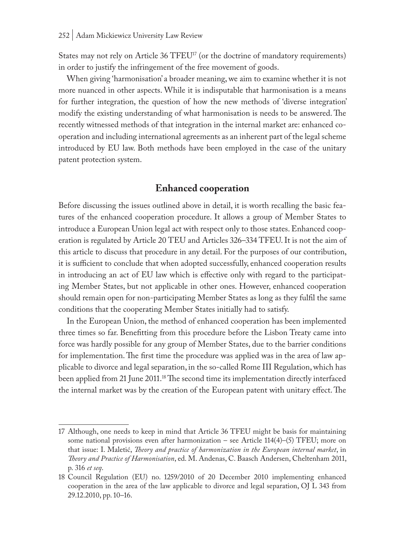States may not rely on Article 36 TFEU<sup>17</sup> (or the doctrine of mandatory requirements) in order to justify the infringement of the free movement of goods.

When giving 'harmonisation' a broader meaning, we aim to examine whether it is not more nuanced in other aspects. While it is indisputable that harmonisation is a means for further integration, the question of how the new methods of 'diverse integration' modify the existing understanding of what harmonisation is needs to be answered. The recently witnessed methods of that integration in the internal market are: enhanced cooperation and including international agreements as an inherent part of the legal scheme introduced by EU law. Both methods have been employed in the case of the unitary patent protection system.

### **Enhanced cooperation**

Before discussing the issues outlined above in detail, it is worth recalling the basic features of the enhanced cooperation procedure. It allows a group of Member States to introduce a European Union legal act with respect only to those states. Enhanced cooperation is regulated by Article 20 TEU and Articles 326–334 TFEU. It is not the aim of this article to discuss that procedure in any detail. For the purposes of our contribution, it is sufficient to conclude that when adopted successfully, enhanced cooperation results in introducing an act of EU law which is effective only with regard to the participating Member States, but not applicable in other ones. However, enhanced cooperation should remain open for non-participating Member States as long as they fulfil the same conditions that the cooperating Member States initially had to satisfy.

In the European Union, the method of enhanced cooperation has been implemented three times so far. Benefitting from this procedure before the Lisbon Treaty came into force was hardly possible for any group of Member States, due to the barrier conditions for implementation. The first time the procedure was applied was in the area of law applicable to divorce and legal separation, in the so-called Rome III Regulation, which has been applied from 21 June 2011.18 The second time its implementation directly interfaced the internal market was by the creation of the European patent with unitary effect. The

<sup>17</sup> Although, one needs to keep in mind that Article 36 TFEU might be basis for maintaining some national provisions even after harmonization – see Article 114(4)–(5) TFEU; more on that issue: I. Maletić, *Theory and practice of harmonization in the European internal market*, in *Theory and Practice of Harmonisation*, ed. M. Andenas, C. Baasch Andersen, Cheltenham 2011, p. 316 *et seq*.

<sup>18</sup> Council Regulation (EU) no. 1259/2010 of 20 December 2010 implementing enhanced cooperation in the area of the law applicable to divorce and legal separation, OJ L 343 from 29.12.2010, pp. 10–16.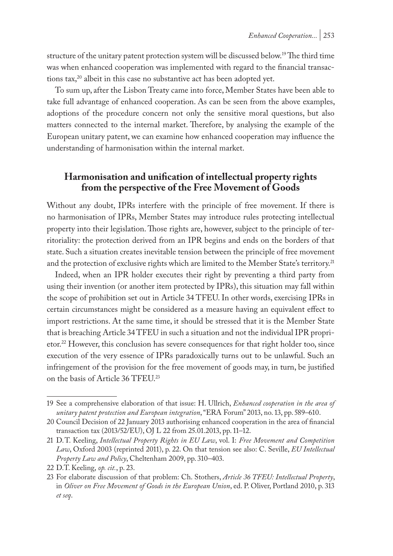structure of the unitary patent protection system will be discussed below.19 The third time was when enhanced cooperation was implemented with regard to the financial transactions  $\text{tax},^{20}$  albeit in this case no substantive act has been adopted yet.

To sum up, after the Lisbon Treaty came into force, Member States have been able to take full advantage of enhanced cooperation. As can be seen from the above examples, adoptions of the procedure concern not only the sensitive moral questions, but also matters connected to the internal market. Therefore, by analysing the example of the European unitary patent, we can examine how enhanced cooperation may influence the understanding of harmonisation within the internal market.

#### **Harmonisation and unification of intellectual property rights from the perspective of the Free Movement of Goods**

Without any doubt, IPRs interfere with the principle of free movement. If there is no harmonisation of IPRs, Member States may introduce rules protecting intellectual property into their legislation. Those rights are, however, subject to the principle of territoriality: the protection derived from an IPR begins and ends on the borders of that state. Such a situation creates inevitable tension between the principle of free movement and the protection of exclusive rights which are limited to the Member State's territory.<sup>21</sup>

Indeed, when an IPR holder executes their right by preventing a third party from using their invention (or another item protected by IPRs), this situation may fall within the scope of prohibition set out in Article 34 TFEU. In other words, exercising IPRs in certain circumstances might be considered as a measure having an equivalent effect to import restrictions. At the same time, it should be stressed that it is the Member State that is breaching Article 34 TFEU in such a situation and not the individual IPR proprietor.22 However, this conclusion has severe consequences for that right holder too, since execution of the very essence of IPRs paradoxically turns out to be unlawful. Such an infringement of the provision for the free movement of goods may, in turn, be justified on the basis of Article 36 TFEU.23

<sup>19</sup> See a comprehensive elaboration of that issue: H. Ullrich, *Enhanced cooperation in the area of unitary patent protection and European integration*, "ERA Forum" 2013, no. 13, pp. 589–610.

<sup>20</sup> Council Decision of 22 January 2013 authorising enhanced cooperation in the area of financial transaction tax (2013/52/EU), OJ L 22 from 25.01.2013, pp. 11–12.

<sup>21</sup> D.T. Keeling, *Intellectual Property Rights in EU Law*, vol. I: *Free Movement and Competition Law*, Oxford 2003 (reprinted 2011), p. 22. On that tension see also: C. Seville, *EU Intellectual Property Law and Policy*, Cheltenham 2009, pp. 310–403.

<sup>22</sup> D.T. Keeling, *op. cit.*, p. 23.

<sup>23</sup> For elaborate discussion of that problem: Ch. Stothers, *Article 36 TFEU: Intellectual Property*, in *Oliver on Free Movement of Goods in the European Union*, ed. P. Oliver, Portland 2010, p. 313 *et seq*.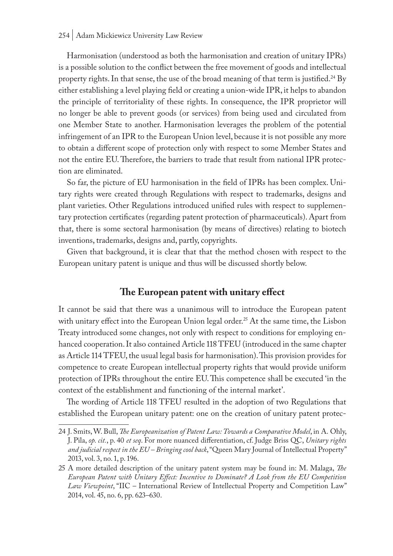Harmonisation (understood as both the harmonisation and creation of unitary IPRs) is a possible solution to the conflict between the free movement of goods and intellectual property rights. In that sense, the use of the broad meaning of that term is justified.24 By either establishing a level playing field or creating a union-wide IPR, it helps to abandon the principle of territoriality of these rights. In consequence, the IPR proprietor will no longer be able to prevent goods (or services) from being used and circulated from one Member State to another. Harmonisation leverages the problem of the potential infringement of an IPR to the European Union level, because it is not possible any more to obtain a different scope of protection only with respect to some Member States and not the entire EU. Therefore, the barriers to trade that result from national IPR protection are eliminated.

So far, the picture of EU harmonisation in the field of IPRs has been complex. Unitary rights were created through Regulations with respect to trademarks, designs and plant varieties. Other Regulations introduced unified rules with respect to supplementary protection certificates (regarding patent protection of pharmaceuticals). Apart from that, there is some sectoral harmonisation (by means of directives) relating to biotech inventions, trademarks, designs and, partly, copyrights.

Given that background, it is clear that that the method chosen with respect to the European unitary patent is unique and thus will be discussed shortly below.

## **The European patent with unitary effect**

It cannot be said that there was a unanimous will to introduce the European patent with unitary effect into the European Union legal order.<sup>25</sup> At the same time, the Lisbon Treaty introduced some changes, not only with respect to conditions for employing enhanced cooperation. It also contained Article 118 TFEU (introduced in the same chapter as Article 114 TFEU, the usual legal basis for harmonisation). This provision provides for competence to create European intellectual property rights that would provide uniform protection of IPRs throughout the entire EU. This competence shall be executed 'in the context of the establishment and functioning of the internal market'.

The wording of Article 118 TFEU resulted in the adoption of two Regulations that established the European unitary patent: one on the creation of unitary patent protec-

<sup>24</sup> J. Smits, W. Bull, *The Europeanization of Patent Law: Towards a Comparative Model*, in A. Ohly, J. Pila, *op. cit.*, p. 40 *et seq*. For more nuanced differentiation, cf. Judge Briss QC, *Unitary rights and judicial respect in the EU – Bringing cool back*, "Queen Mary Journal of Intellectual Property" 2013, vol. 3, no. 1, p. 196.

<sup>25</sup> A more detailed description of the unitary patent system may be found in: M. Malaga, *The European Patent with Unitary Effect: Incentive to Dominate? A Look from the EU Competition Law Viewpoint*, "IIC – International Review of Intellectual Property and Competition Law" 2014, vol. 45, no. 6, pp. 623–630.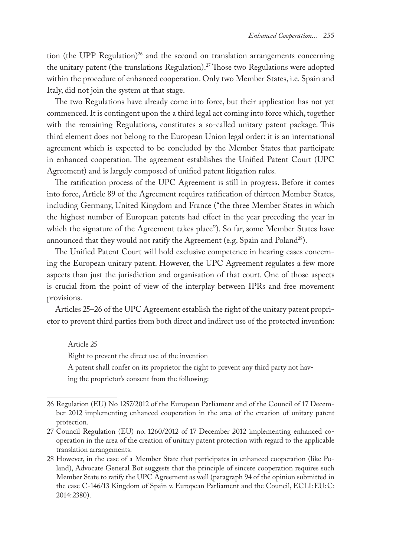tion (the UPP Regulation)<sup>26</sup> and the second on translation arrangements concerning the unitary patent (the translations Regulation).<sup>27</sup> Those two Regulations were adopted within the procedure of enhanced cooperation. Only two Member States, i.e. Spain and Italy, did not join the system at that stage.

The two Regulations have already come into force, but their application has not yet commenced. It is contingent upon the a third legal act coming into force which, together with the remaining Regulations, constitutes a so-called unitary patent package. This third element does not belong to the European Union legal order: it is an international agreement which is expected to be concluded by the Member States that participate in enhanced cooperation. The agreement establishes the Unified Patent Court (UPC Agreement) and is largely composed of unified patent litigation rules.

The ratification process of the UPC Agreement is still in progress. Before it comes into force, Article 89 of the Agreement requires ratification of thirteen Member States, including Germany, United Kingdom and France ("the three Member States in which the highest number of European patents had effect in the year preceding the year in which the signature of the Agreement takes place"). So far, some Member States have announced that they would not ratify the Agreement (e.g. Spain and Poland<sup>28</sup>).

The Unified Patent Court will hold exclusive competence in hearing cases concerning the European unitary patent. However, the UPC Agreement regulates a few more aspects than just the jurisdiction and organisation of that court. One of those aspects is crucial from the point of view of the interplay between IPRs and free movement provisions.

Articles 25–26 of the UPC Agreement establish the right of the unitary patent proprietor to prevent third parties from both direct and indirect use of the protected invention:

Article 25

Right to prevent the direct use of the invention

A patent shall confer on its proprietor the right to prevent any third party not having the proprietor's consent from the following:

<sup>26</sup> Regulation (EU) No 1257/2012 of the European Parliament and of the Council of 17 December 2012 implementing enhanced cooperation in the area of the creation of unitary patent protection.

<sup>27</sup> Council Regulation (EU) no. 1260/2012 of 17 December 2012 implementing enhanced cooperation in the area of the creation of unitary patent protection with regard to the applicable translation arrangements.

<sup>28</sup> However, in the case of a Member State that participates in enhanced cooperation (like Poland), Advocate General Bot suggests that the principle of sincere cooperation requires such Member State to ratify the UPC Agreement as well (paragraph 94 of the opinion submitted in the case C-146/13 Kingdom of Spain v. European Parliament and the Council, ECLI:EU:C: 2014:2380).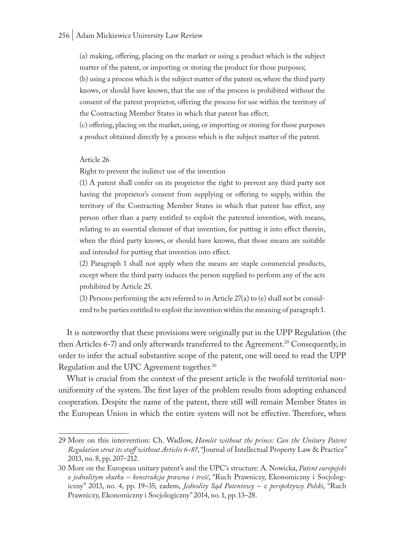#### 256 | Adam Mickiewicz University Law Review

(a) making, offering, placing on the market or using a product which is the subject matter of the patent, or importing or storing the product for those purposes;

(b) using a process which is the subject matter of the patent or, where the third party knows, or should have known, that the use of the process is prohibited without the consent of the patent proprietor, offering the process for use within the territory of the Contracting Member States in which that patent has effect;

(c) offering, placing on the market, using, or importing or storing for those purposes a product obtained directly by a process which is the subject matter of the patent.

Article 26

Right to prevent the indirect use of the invention

(1) A patent shall confer on its proprietor the right to prevent any third party not having the proprietor's consent from supplying or offering to supply, within the territory of the Contracting Member States in which that patent has effect, any person other than a party entitled to exploit the patented invention, with means, relating to an essential element of that invention, for putting it into effect therein, when the third party knows, or should have known, that those means are suitable and intended for putting that invention into effect.

(2) Paragraph 1 shall not apply when the means are staple commercial products, except where the third party induces the person supplied to perform any of the acts prohibited by Article 25.

(3) Persons performing the acts referred to in Article 27(a) to (e) shall not be considered to be parties entitled to exploit the invention within the meaning of paragraph 1.

It is noteworthy that these provisions were originally put in the UPP Regulation (the then Articles 6-7) and only afterwards transferred to the Agreement.<sup>29</sup> Consequently, in order to infer the actual substantive scope of the patent, one will need to read the UPP Regulation and the UPC Agreement together.<sup>30</sup>

What is crucial from the context of the present article is the twofold territorial nonuniformity of the system. The first layer of the problem results from adopting enhanced cooperation. Despite the name of the patent, there still will remain Member States in the European Union in which the entire system will not be effective. Therefore, when

<sup>29</sup> More on this intervention: Ch. Wadlow, *Hamlet without the prince: Can the Unitary Patent Regulation strut its stuff without Articles 6–8?*, "Journal of Intellectual Property Law & Practice" 2013, no. 8, pp. 207–212.

<sup>30</sup> More on the European unitary patent's and the UPC's structure: A. Nowicka, *Patent europejski o jednolitym skutku – konstrukcja prawna i treść*, "Ruch Prawniczy, Ekonomiczny i Socjologiczny" 2013, no. 4, pp. 19–35; eadem, *Jednolity Sąd Patentowy – z perspektywy Polski*, "Ruch Prawniczy, Ekonomiczny i Socjologiczny" 2014, no. 1, pp. 13–28.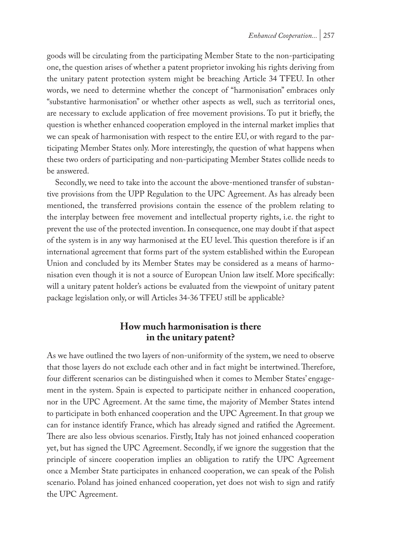goods will be circulating from the participating Member State to the non-participating one, the question arises of whether a patent proprietor invoking his rights deriving from the unitary patent protection system might be breaching Article 34 TFEU. In other words, we need to determine whether the concept of "harmonisation" embraces only "substantive harmonisation" or whether other aspects as well, such as territorial ones, are necessary to exclude application of free movement provisions. To put it briefly, the question is whether enhanced cooperation employed in the internal market implies that we can speak of harmonisation with respect to the entire EU, or with regard to the participating Member States only. More interestingly, the question of what happens when these two orders of participating and non-participating Member States collide needs to be answered.

Secondly, we need to take into the account the above-mentioned transfer of substantive provisions from the UPP Regulation to the UPC Agreement. As has already been mentioned, the transferred provisions contain the essence of the problem relating to the interplay between free movement and intellectual property rights, i.e. the right to prevent the use of the protected invention. In consequence, one may doubt if that aspect of the system is in any way harmonised at the EU level. This question therefore is if an international agreement that forms part of the system established within the European Union and concluded by its Member States may be considered as a means of harmonisation even though it is not a source of European Union law itself. More specifically: will a unitary patent holder's actions be evaluated from the viewpoint of unitary patent package legislation only, or will Articles 34-36 TFEU still be applicable?

## **How much harmonisation is there in the unitary patent?**

As we have outlined the two layers of non-uniformity of the system, we need to observe that those layers do not exclude each other and in fact might be intertwined. Therefore, four different scenarios can be distinguished when it comes to Member States' engagement in the system. Spain is expected to participate neither in enhanced cooperation, nor in the UPC Agreement. At the same time, the majority of Member States intend to participate in both enhanced cooperation and the UPC Agreement. In that group we can for instance identify France, which has already signed and ratified the Agreement. There are also less obvious scenarios. Firstly, Italy has not joined enhanced cooperation yet, but has signed the UPC Agreement. Secondly, if we ignore the suggestion that the principle of sincere cooperation implies an obligation to ratify the UPC Agreement once a Member State participates in enhanced cooperation, we can speak of the Polish scenario. Poland has joined enhanced cooperation, yet does not wish to sign and ratify the UPC Agreement.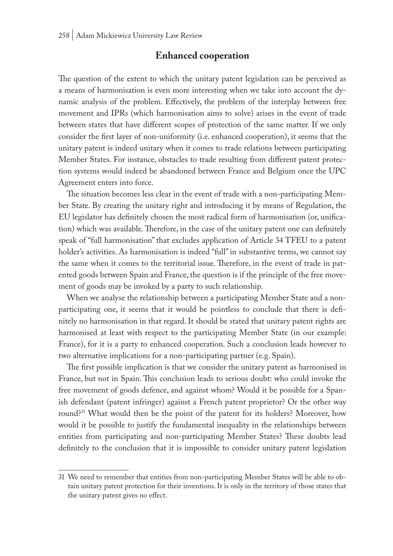#### **Enhanced cooperation**

The question of the extent to which the unitary patent legislation can be perceived as a means of harmonisation is even more interesting when we take into account the dynamic analysis of the problem. Effectively, the problem of the interplay between free movement and IPRs (which harmonisation aims to solve) arises in the event of trade between states that have different scopes of protection of the same matter. If we only consider the first layer of non-uniformity (i.e. enhanced cooperation), it seems that the unitary patent is indeed unitary when it comes to trade relations between participating Member States. For instance, obstacles to trade resulting from different patent protection systems would indeed be abandoned between France and Belgium once the UPC Agreement enters into force.

The situation becomes less clear in the event of trade with a non-participating Member State. By creating the unitary right and introducing it by means of Regulation, the EU legislator has definitely chosen the most radical form of harmonisation (or, unification) which was available. Therefore, in the case of the unitary patent one can definitely speak of "full harmonisation" that excludes application of Article 34 TFEU to a patent holder's activities. As harmonisation is indeed "full" in substantive terms, we cannot say the same when it comes to the territorial issue. Therefore, in the event of trade in patented goods between Spain and France, the question is if the principle of the free movement of goods may be invoked by a party to such relationship.

When we analyse the relationship between a participating Member State and a nonparticipating one, it seems that it would be pointless to conclude that there is definitely no harmonisation in that regard. It should be stated that unitary patent rights are harmonised at least with respect to the participating Member State (in our example: France), for it is a party to enhanced cooperation. Such a conclusion leads however to two alternative implications for a non-participating partner (e.g. Spain).

The first possible implication is that we consider the unitary patent as harmonised in France, but not in Spain. This conclusion leads to serious doubt: who could invoke the free movement of goods defence, and against whom? Would it be possible for a Spanish defendant (patent infringer) against a French patent proprietor? Or the other way round?31 What would then be the point of the patent for its holders? Moreover, how would it be possible to justify the fundamental inequality in the relationships between entities from participating and non-participating Member States? These doubts lead definitely to the conclusion that it is impossible to consider unitary patent legislation

<sup>31</sup> We need to remember that entities from non-participating Member States will be able to obtain unitary patent protection for their inventions. It is only in the territory of those states that the unitary patent gives no effect.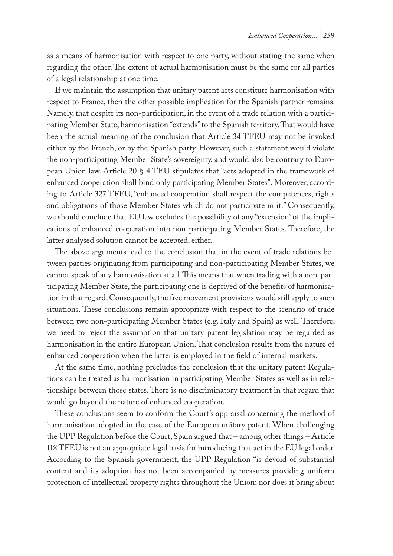as a means of harmonisation with respect to one party, without stating the same when regarding the other. The extent of actual harmonisation must be the same for all parties of a legal relationship at one time.

If we maintain the assumption that unitary patent acts constitute harmonisation with respect to France, then the other possible implication for the Spanish partner remains. Namely, that despite its non-participation, in the event of a trade relation with a participating Member State, harmonisation "extends" to the Spanish territory. That would have been the actual meaning of the conclusion that Article 34 TFEU may not be invoked either by the French, or by the Spanish party. However, such a statement would violate the non-participating Member State's sovereignty, and would also be contrary to European Union law. Article 20 § 4 TEU stipulates that "acts adopted in the framework of enhanced cooperation shall bind only participating Member States". Moreover, according to Article 327 TFEU, "enhanced cooperation shall respect the competences, rights and obligations of those Member States which do not participate in it." Consequently, we should conclude that EU law excludes the possibility of any "extension" of the implications of enhanced cooperation into non-participating Member States. Therefore, the latter analysed solution cannot be accepted, either.

The above arguments lead to the conclusion that in the event of trade relations between parties originating from participating and non-participating Member States, we cannot speak of any harmonisation at all. This means that when trading with a non-participating Member State, the participating one is deprived of the benefits of harmonisation in that regard. Consequently, the free movement provisions would still apply to such situations. These conclusions remain appropriate with respect to the scenario of trade between two non-participating Member States (e.g. Italy and Spain) as well. Therefore, we need to reject the assumption that unitary patent legislation may be regarded as harmonisation in the entire European Union. That conclusion results from the nature of enhanced cooperation when the latter is employed in the field of internal markets.

At the same time, nothing precludes the conclusion that the unitary patent Regulations can be treated as harmonisation in participating Member States as well as in relationships between those states. There is no discriminatory treatment in that regard that would go beyond the nature of enhanced cooperation.

These conclusions seem to conform the Court's appraisal concerning the method of harmonisation adopted in the case of the European unitary patent. When challenging the UPP Regulation before the Court, Spain argued that – among other things – Article 118 TFEU is not an appropriate legal basis for introducing that act in the EU legal order. According to the Spanish government, the UPP Regulation "is devoid of substantial content and its adoption has not been accompanied by measures providing uniform protection of intellectual property rights throughout the Union; nor does it bring about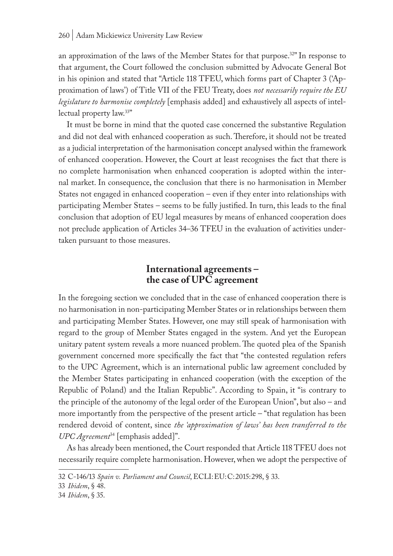an approximation of the laws of the Member States for that purpose.32" In response to that argument, the Court followed the conclusion submitted by Advocate General Bot in his opinion and stated that "Article 118 TFEU, which forms part of Chapter 3 ('Approximation of laws') of Title VII of the FEU Treaty, does *not necessarily require the EU legislature to harmonise completely* [emphasis added] and exhaustively all aspects of intellectual property law.33"

It must be borne in mind that the quoted case concerned the substantive Regulation and did not deal with enhanced cooperation as such. Therefore, it should not be treated as a judicial interpretation of the harmonisation concept analysed within the framework of enhanced cooperation. However, the Court at least recognises the fact that there is no complete harmonisation when enhanced cooperation is adopted within the internal market. In consequence, the conclusion that there is no harmonisation in Member States not engaged in enhanced cooperation – even if they enter into relationships with participating Member States – seems to be fully justified. In turn, this leads to the final conclusion that adoption of EU legal measures by means of enhanced cooperation does not preclude application of Articles 34–36 TFEU in the evaluation of activities undertaken pursuant to those measures.

# **International agreements – the case of UPC agreement**

In the foregoing section we concluded that in the case of enhanced cooperation there is no harmonisation in non-participating Member States or in relationships between them and participating Member States. However, one may still speak of harmonisation with regard to the group of Member States engaged in the system. And yet the European unitary patent system reveals a more nuanced problem. The quoted plea of the Spanish government concerned more specifically the fact that "the contested regulation refers to the UPC Agreement, which is an international public law agreement concluded by the Member States participating in enhanced cooperation (with the exception of the Republic of Poland) and the Italian Republic". According to Spain, it "is contrary to the principle of the autonomy of the legal order of the European Union", but also – and more importantly from the perspective of the present article – "that regulation has been rendered devoid of content, since *the 'approximation of laws' has been transferred to the UPC Agreement*34 [emphasis added]".

As has already been mentioned, the Court responded that Article 118 TFEU does not necessarily require complete harmonisation. However, when we adopt the perspective of

<sup>32</sup> C-146/13 *Spain v. Parliament and Council*, ECLI:EU:C:2015:298, § 33.

<sup>33</sup> *Ibidem*, § 48.

<sup>34</sup> *Ibidem*, § 35.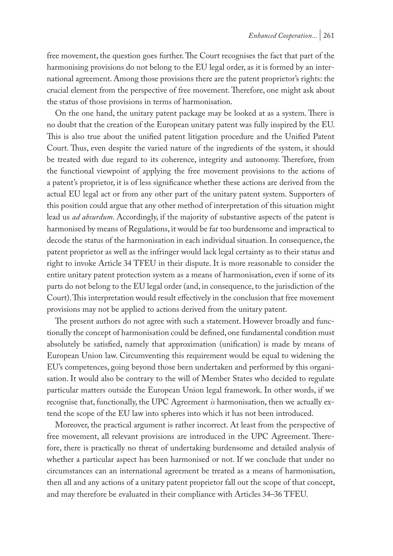free movement, the question goes further. The Court recognises the fact that part of the harmonising provisions do not belong to the EU legal order, as it is formed by an international agreement. Among those provisions there are the patent proprietor's rights: the crucial element from the perspective of free movement. Therefore, one might ask about the status of those provisions in terms of harmonisation.

On the one hand, the unitary patent package may be looked at as a system. There is no doubt that the creation of the European unitary patent was fully inspired by the EU. This is also true about the unified patent litigation procedure and the Unified Patent Court. Thus, even despite the varied nature of the ingredients of the system, it should be treated with due regard to its coherence, integrity and autonomy. Therefore, from the functional viewpoint of applying the free movement provisions to the actions of a patent's proprietor, it is of less significance whether these actions are derived from the actual EU legal act or from any other part of the unitary patent system. Supporters of this position could argue that any other method of interpretation of this situation might lead us *ad absurdum*. Accordingly, if the majority of substantive aspects of the patent is harmonised by means of Regulations, it would be far too burdensome and impractical to decode the status of the harmonisation in each individual situation. In consequence, the patent proprietor as well as the infringer would lack legal certainty as to their status and right to invoke Article 34 TFEU in their dispute. It is more reasonable to consider the entire unitary patent protection system as a means of harmonisation, even if some of its parts do not belong to the EU legal order (and, in consequence, to the jurisdiction of the Court). This interpretation would result effectively in the conclusion that free movement provisions may not be applied to actions derived from the unitary patent.

The present authors do not agree with such a statement. However broadly and functionally the concept of harmonisation could be defined, one fundamental condition must absolutely be satisfied, namely that approximation (unification) is made by means of European Union law. Circumventing this requirement would be equal to widening the EU's competences, going beyond those been undertaken and performed by this organisation. It would also be contrary to the will of Member States who decided to regulate particular matters outside the European Union legal framework. In other words, if we recognise that, functionally, the UPC Agreement *is* harmonisation, then we actually extend the scope of the EU law into spheres into which it has not been introduced.

Moreover, the practical argument is rather incorrect. At least from the perspective of free movement, all relevant provisions are introduced in the UPC Agreement. Therefore, there is practically no threat of undertaking burdensome and detailed analysis of whether a particular aspect has been harmonised or not. If we conclude that under no circumstances can an international agreement be treated as a means of harmonisation, then all and any actions of a unitary patent proprietor fall out the scope of that concept, and may therefore be evaluated in their compliance with Articles 34–36 TFEU.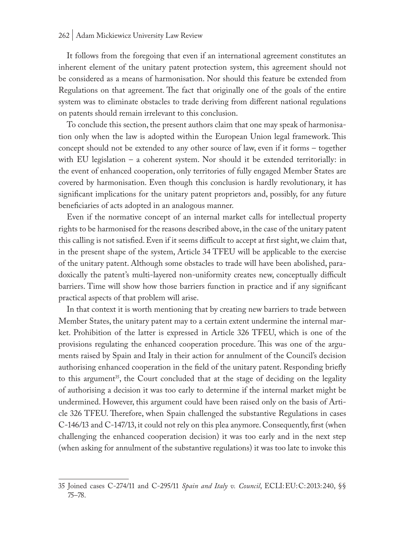It follows from the foregoing that even if an international agreement constitutes an inherent element of the unitary patent protection system, this agreement should not be considered as a means of harmonisation. Nor should this feature be extended from Regulations on that agreement. The fact that originally one of the goals of the entire system was to eliminate obstacles to trade deriving from different national regulations on patents should remain irrelevant to this conclusion.

To conclude this section, the present authors claim that one may speak of harmonisation only when the law is adopted within the European Union legal framework. This concept should not be extended to any other source of law, even if it forms – together with EU legislation – a coherent system. Nor should it be extended territorially: in the event of enhanced cooperation, only territories of fully engaged Member States are covered by harmonisation. Even though this conclusion is hardly revolutionary, it has significant implications for the unitary patent proprietors and, possibly, for any future beneficiaries of acts adopted in an analogous manner.

Even if the normative concept of an internal market calls for intellectual property rights to be harmonised for the reasons described above, in the case of the unitary patent this calling is not satisfied. Even if it seems difficult to accept at first sight, we claim that, in the present shape of the system, Article 34 TFEU will be applicable to the exercise of the unitary patent. Although some obstacles to trade will have been abolished, paradoxically the patent's multi-layered non-uniformity creates new, conceptually difficult barriers. Time will show how those barriers function in practice and if any significant practical aspects of that problem will arise.

In that context it is worth mentioning that by creating new barriers to trade between Member States, the unitary patent may to a certain extent undermine the internal market. Prohibition of the latter is expressed in Article 326 TFEU, which is one of the provisions regulating the enhanced cooperation procedure. This was one of the arguments raised by Spain and Italy in their action for annulment of the Council's decision authorising enhanced cooperation in the field of the unitary patent. Responding briefly to this argument<sup>35</sup>, the Court concluded that at the stage of deciding on the legality of authorising a decision it was too early to determine if the internal market might be undermined. However, this argument could have been raised only on the basis of Article 326 TFEU. Therefore, when Spain challenged the substantive Regulations in cases C-146/13 and C-147/13, it could not rely on this plea anymore. Consequently, first (when challenging the enhanced cooperation decision) it was too early and in the next step (when asking for annulment of the substantive regulations) it was too late to invoke this

<sup>35</sup> Joined cases C-274/11 and C-295/11 *Spain and Italy v. Council*, ECLI:EU:C:2013:240, §§ 75–78.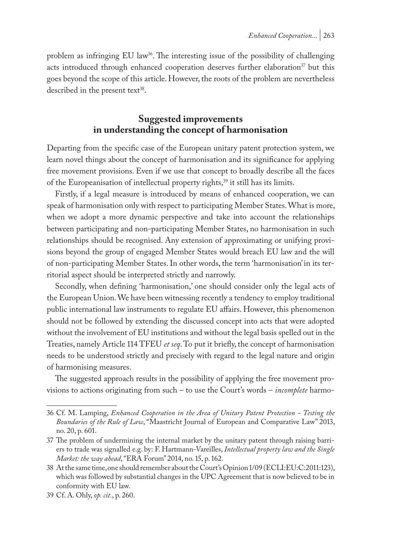problem as infringing EU law<sup>36</sup>. The interesting issue of the possibility of challenging acts introduced through enhanced cooperation deserves further elaboration<sup>37</sup> but this goes beyond the scope of this article. However, the roots of the problem are nevertheless described in the present text<sup>38</sup>.

# **Suggested improvements in understanding the concept of harmonisation**

Departing from the specific case of the European unitary patent protection system, we learn novel things about the concept of harmonisation and its significance for applying free movement provisions. Even if we use that concept to broadly describe all the faces of the Europeanisation of intellectual property rights,<sup>39</sup> it still has its limits.

Firstly, if a legal measure is introduced by means of enhanced cooperation, we can speak of harmonisation only with respect to participating Member States. What is more, when we adopt a more dynamic perspective and take into account the relationships between participating and non-participating Member States, no harmonisation in such relationships should be recognised. Any extension of approximating or unifying provisions beyond the group of engaged Member States would breach EU law and the will of non-participating Member States. In other words, the term 'harmonisation' in its territorial aspect should be interpreted strictly and narrowly.

Secondly, when defining 'harmonisation,' one should consider only the legal acts of the European Union. We have been witnessing recently a tendency to employ traditional public international law instruments to regulate EU affairs. However, this phenomenon should not be followed by extending the discussed concept into acts that were adopted without the involvement of EU institutions and without the legal basis spelled out in the Treaties, namely Article 114 TFEU *et seq*. To put it briefly, the concept of harmonisation needs to be understood strictly and precisely with regard to the legal nature and origin of harmonising measures.

The suggested approach results in the possibility of applying the free movement provisions to actions originating from such – to use the Court's words – *incomplete* harmo-

<sup>36</sup> Cf. M. Lamping, *Enhanced Cooperation in the Area of Unitary Patent Protection - Testing the Boundaries of the Rule of Law*, "Maastricht Journal of European and Comparative Law" 2013, no. 20, p. 601.

<sup>37</sup> The problem of undermining the internal market by the unitary patent through raising barriers to trade was signalled e.g. by: F. Hartmann-Vareilles, *Intellectual property law and the Single Market: the way ahead*, "ERA Forum" 2014, no. 15, p. 162.

<sup>38</sup> At the same time, one should remember about the Court's Opinion 1/09 (ECLI:EU:C:2011:123), which was followed by substantial changes in the UPC Agreement that is now believed to be in conformity with EU law.

<sup>39</sup> Cf. A. Ohly, *op. cit.*, p. 260.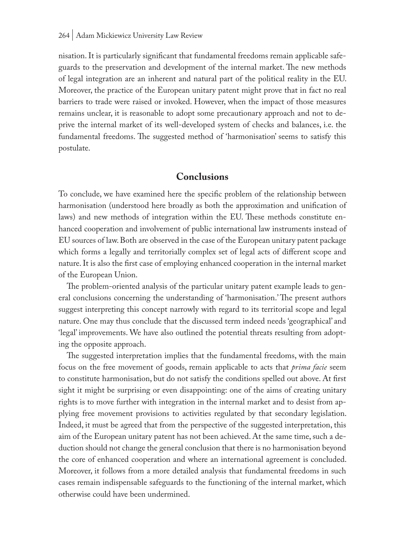nisation. It is particularly significant that fundamental freedoms remain applicable safeguards to the preservation and development of the internal market. The new methods of legal integration are an inherent and natural part of the political reality in the EU. Moreover, the practice of the European unitary patent might prove that in fact no real barriers to trade were raised or invoked. However, when the impact of those measures remains unclear, it is reasonable to adopt some precautionary approach and not to deprive the internal market of its well-developed system of checks and balances, i.e. the fundamental freedoms. The suggested method of 'harmonisation' seems to satisfy this postulate.

#### **Conclusions**

To conclude, we have examined here the specific problem of the relationship between harmonisation (understood here broadly as both the approximation and unification of laws) and new methods of integration within the EU. These methods constitute enhanced cooperation and involvement of public international law instruments instead of EU sources of law. Both are observed in the case of the European unitary patent package which forms a legally and territorially complex set of legal acts of different scope and nature. It is also the first case of employing enhanced cooperation in the internal market of the European Union.

The problem-oriented analysis of the particular unitary patent example leads to general conclusions concerning the understanding of 'harmonisation.' The present authors suggest interpreting this concept narrowly with regard to its territorial scope and legal nature. One may thus conclude that the discussed term indeed needs 'geographical' and 'legal' improvements. We have also outlined the potential threats resulting from adopting the opposite approach.

The suggested interpretation implies that the fundamental freedoms, with the main focus on the free movement of goods, remain applicable to acts that *prima facie* seem to constitute harmonisation, but do not satisfy the conditions spelled out above. At first sight it might be surprising or even disappointing: one of the aims of creating unitary rights is to move further with integration in the internal market and to desist from applying free movement provisions to activities regulated by that secondary legislation. Indeed, it must be agreed that from the perspective of the suggested interpretation, this aim of the European unitary patent has not been achieved. At the same time, such a deduction should not change the general conclusion that there is no harmonisation beyond the core of enhanced cooperation and where an international agreement is concluded. Moreover, it follows from a more detailed analysis that fundamental freedoms in such cases remain indispensable safeguards to the functioning of the internal market, which otherwise could have been undermined.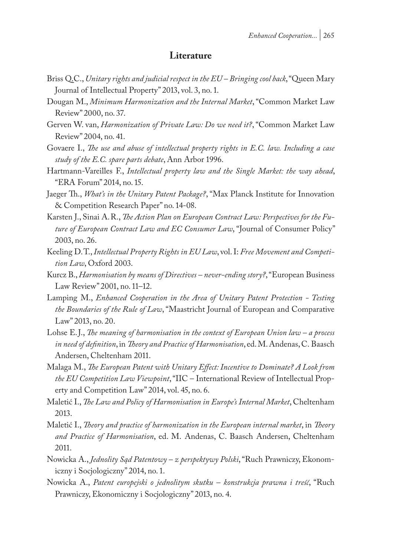#### **Literature**

- Briss Q.C., *Unitary rights and judicial respect in the EU Bringing cool back*, "Queen Mary Journal of Intellectual Property" 2013, vol. 3, no. 1.
- Dougan M., *Minimum Harmonization and the Internal Market*, "Common Market Law Review" 2000, no. 37.
- Gerven W. van, *Harmonization of Private Law: Do we need it?*, "Common Market Law Review" 2004, no. 41.
- Govaere I., *The use and abuse of intellectual property rights in E.C. law. Including a case study of the E.C. spare parts debate*, Ann Arbor 1996.
- Hartmann-Vareilles F., *Intellectual property law and the Single Market: the way ahead*, "ERA Forum" 2014, no. 15.
- Jaeger Th., *What's in the Unitary Patent Package?*, "Max Planck Institute for Innovation & Competition Research Paper" no. 14-08.
- Karsten J., Sinai A.R., *The Action Plan on European Contract Law: Perspectives for the Future of European Contract Law and EC Consumer Law*, "Journal of Consumer Policy" 2003, no. 26.
- Keeling D.T., *Intellectual Property Rights in EU Law*, vol. I: *Free Movement and Competition Law*, Oxford 2003.
- Kurcz B., *Harmonisation by means of Directives never-ending story?*, "European Business Law Review" 2001, no. 11–12.
- Lamping M., *Enhanced Cooperation in the Area of Unitary Patent Protection Testing the Boundaries of the Rule of Law*, "Maastricht Journal of European and Comparative Law" 2013, no. 20.
- Lohse E.J., *The meaning of harmonisation in the context of European Union law a process in need of definition*, in *Theory and Practice of Harmonisation*, ed. M. Andenas, C. Baasch Andersen, Cheltenham 2011.
- Malaga M., *The European Patent with Unitary Effect: Incentive to Dominate? A Look from the EU Competition Law Viewpoint*, "IIC – International Review of Intellectual Property and Competition Law" 2014, vol. 45, no. 6.
- Maletić I., *The Law and Policy of Harmonisation in Europe's Internal Market*, Cheltenham 2013.
- Maletić I., *Theory and practice of harmonization in the European internal market*, in *Theory and Practice of Harmonisation*, ed. M. Andenas, C. Baasch Andersen, Cheltenham 2011.
- Nowicka A., *Jednolity Sąd Patentowy z perspektywy Polski*, "Ruch Prawniczy, Ekonomiczny i Socjologiczny" 2014, no. 1.
- Nowicka A., *Patent europejski o jednolitym skutku konstrukcja prawna i treść*, "Ruch Prawniczy, Ekonomiczny i Socjologiczny" 2013, no. 4.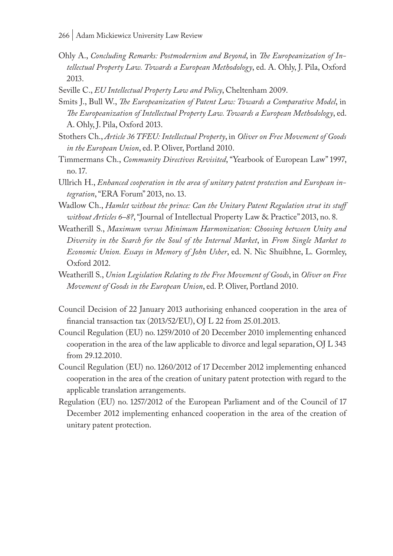- Ohly A., *Concluding Remarks: Postmodernism and Beyond*, in *The Europeanization of Intellectual Property Law. Towards a European Methodology*, ed. A. Ohly, J. Pila, Oxford 2013.
- Seville C., *EU Intellectual Property Law and Policy*, Cheltenham 2009.
- Smits J., Bull W., *The Europeanization of Patent Law: Towards a Comparative Model*, in *The Europeanization of Intellectual Property Law. Towards a European Methodology*, ed. A. Ohly, J. Pila, Oxford 2013.
- Stothers Ch., *Article 36 TFEU: Intellectual Property*, in *Oliver on Free Movement of Goods in the European Union*, ed. P. Oliver, Portland 2010.
- Timmermans Ch., *Community Directives Revisited*, "Yearbook of European Law" 1997, no. 17.
- Ullrich H., *Enhanced cooperation in the area of unitary patent protection and European integration*, "ERA Forum" 2013, no. 13.
- Wadlow Ch., *Hamlet without the prince: Can the Unitary Patent Regulation strut its stuff without Articles 6–8?*, "Journal of Intellectual Property Law & Practice" 2013, no. 8.
- Weatherill S., *Maximum versus Minimum Harmonization: Choosing between Unity and Diversity in the Search for the Soul of the Internal Market*, in *From Single Market to Economic Union. Essays in Memory of John Usher*, ed. N. Nic Shuibhne, L. Gormley, Oxford 2012.
- Weatherill S., *Union Legislation Relating to the Free Movement of Goods*, in *Oliver on Free Movement of Goods in the European Union*, ed. P. Oliver, Portland 2010.
- Council Decision of 22 January 2013 authorising enhanced cooperation in the area of financial transaction tax (2013/52/EU), OJ L 22 from 25.01.2013.
- Council Regulation (EU) no. 1259/2010 of 20 December 2010 implementing enhanced cooperation in the area of the law applicable to divorce and legal separation, OJ L 343 from 29.12.2010.
- Council Regulation (EU) no. 1260/2012 of 17 December 2012 implementing enhanced cooperation in the area of the creation of unitary patent protection with regard to the applicable translation arrangements.
- Regulation (EU) no. 1257/2012 of the European Parliament and of the Council of 17 December 2012 implementing enhanced cooperation in the area of the creation of unitary patent protection.